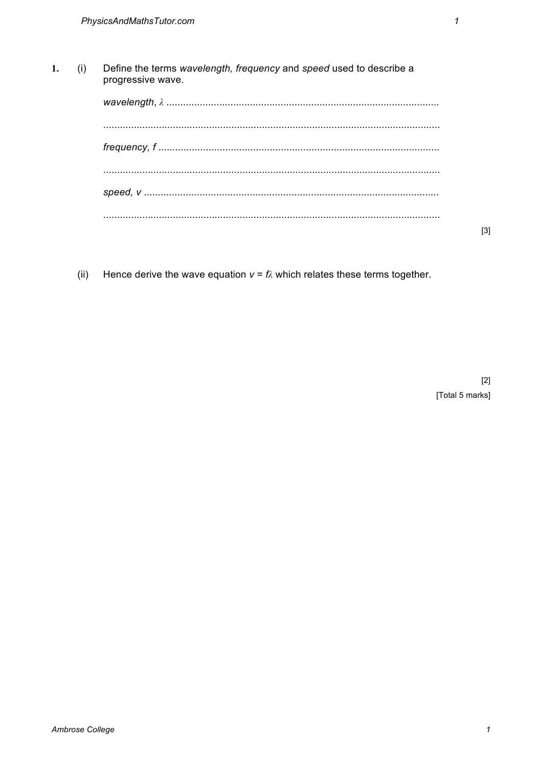| (i) | Define the terms wavelength, frequency and speed used to describe a<br>progressive wave. |
|-----|------------------------------------------------------------------------------------------|
|     |                                                                                          |
|     |                                                                                          |
|     |                                                                                          |
|     |                                                                                          |

 $(ii)$ Hence derive the wave equation  $v = \hbar$  which relates these terms together.  $[3]$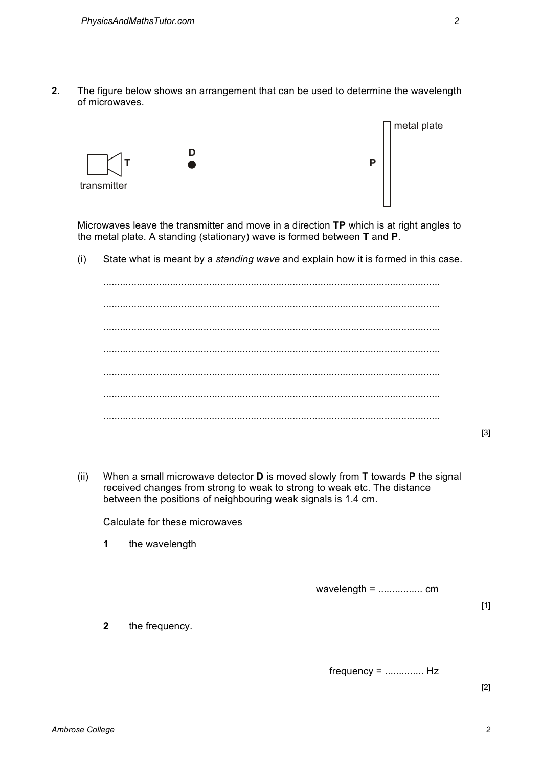**2.** The figure below shows an arrangement that can be used to determine the wavelength of microwaves.



Microwaves leave the transmitter and move in a direction **TP** which is at right angles to the metal plate. A standing (stationary) wave is formed between **T** and **P**.

(i) State what is meant by a *standing wave* and explain how it is formed in this case.

......................................................................................................................... ......................................................................................................................... ......................................................................................................................... ......................................................................................................................... ......................................................................................................................... ......................................................................................................................... .........................................................................................................................

[3]

(ii) When a small microwave detector **D** is moved slowly from **T** towards **P** the signal received changes from strong to weak to strong to weak etc. The distance between the positions of neighbouring weak signals is 1.4 cm.

Calculate for these microwaves

**1** the wavelength

wavelength = ................ cm

[1]

**2** the frequency.

frequency = .............. Hz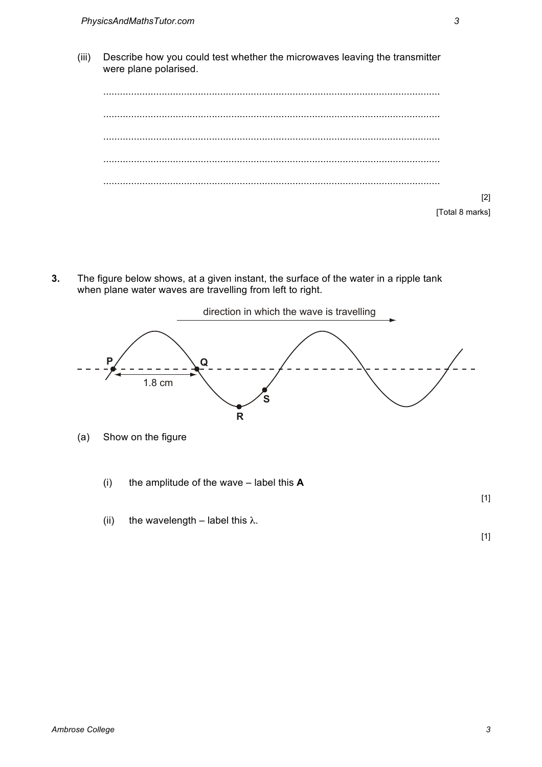(iii) Describe how you could test whether the microwaves leaving the transmitter were plane polarised.

......................................................................................................................... ......................................................................................................................... ......................................................................................................................... ......................................................................................................................... ......................................................................................................................... [2] [Total 8 marks]

**3.** The figure below shows, at a given instant, the surface of the water in a ripple tank when plane water waves are travelling from left to right.



(i) the amplitude of the wave – label this **A**

[1]

(ii) the wavelength – label this  $\lambda$ .

[1]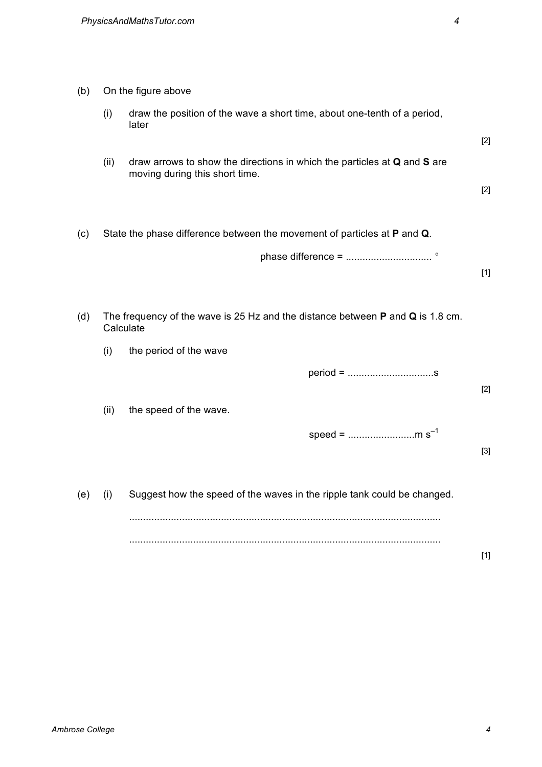| (b) | On the figure above                                                                             |                                                                                                            |       |  |  |
|-----|-------------------------------------------------------------------------------------------------|------------------------------------------------------------------------------------------------------------|-------|--|--|
|     | (i)                                                                                             | draw the position of the wave a short time, about one-tenth of a period,<br>later                          |       |  |  |
|     |                                                                                                 |                                                                                                            | $[2]$ |  |  |
|     | (ii)                                                                                            | draw arrows to show the directions in which the particles at Q and S are<br>moving during this short time. |       |  |  |
|     |                                                                                                 |                                                                                                            | $[2]$ |  |  |
| (c) |                                                                                                 | State the phase difference between the movement of particles at P and Q.                                   |       |  |  |
|     |                                                                                                 |                                                                                                            |       |  |  |
|     |                                                                                                 |                                                                                                            | $[1]$ |  |  |
| (d) | The frequency of the wave is 25 Hz and the distance between $P$ and $Q$ is 1.8 cm.<br>Calculate |                                                                                                            |       |  |  |
|     | (i)                                                                                             | the period of the wave                                                                                     |       |  |  |
|     |                                                                                                 |                                                                                                            | $[2]$ |  |  |
|     | (ii)                                                                                            | the speed of the wave.                                                                                     |       |  |  |
|     |                                                                                                 | speed = m s <sup>-1</sup>                                                                                  |       |  |  |
|     |                                                                                                 |                                                                                                            | $[3]$ |  |  |
| (e) | (i)                                                                                             | Suggest how the speed of the waves in the ripple tank could be changed.                                    |       |  |  |
|     |                                                                                                 |                                                                                                            |       |  |  |
|     |                                                                                                 |                                                                                                            |       |  |  |

[1]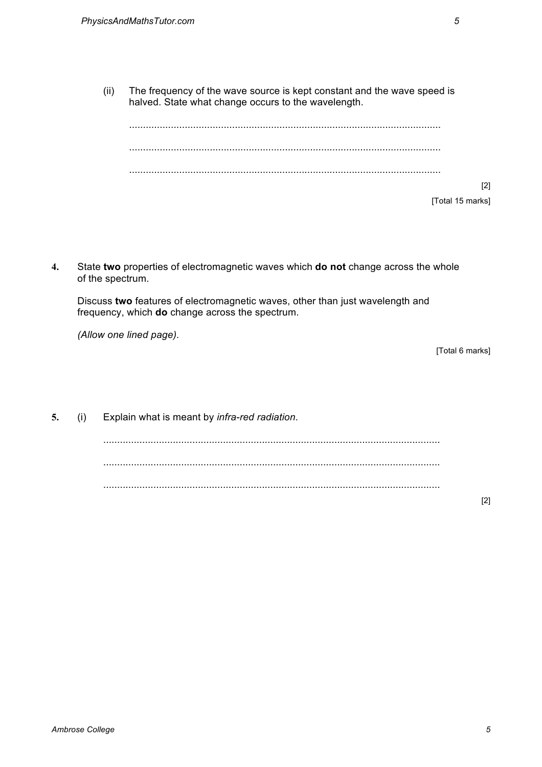(ii) The frequency of the wave source is kept constant and the wave speed is halved. State what change occurs to the wavelength.

................................................................................................................ ................................................................................................................ ................................................................................................................ [Total 15 marks]

**4.** State **two** properties of electromagnetic waves which **do not** change across the whole of the spectrum.

Discuss **two** features of electromagnetic waves, other than just wavelength and frequency, which **do** change across the spectrum.

*(Allow one lined page).*

[Total 6 marks]

[2]

**5.** (i) Explain what is meant by *infra-red radiation*.

......................................................................................................................... ......................................................................................................................... .........................................................................................................................

[2]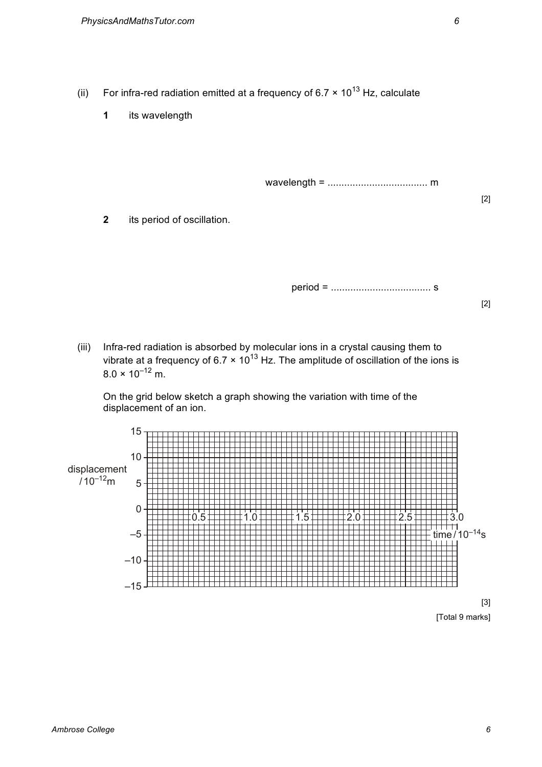- (ii) For infra-red radiation emitted at a frequency of 6.7  $\times$  10<sup>13</sup> Hz, calculate
	- **1** its wavelength

wavelength = .................................... m

**2** its period of oscillation.

period = .................................... s

[2]

[2]

(iii) Infra-red radiation is absorbed by molecular ions in a crystal causing them to vibrate at a frequency of 6.7  $\times$  10<sup>13</sup> Hz. The amplitude of oscillation of the ions is  $8.0 \times 10^{-12}$  m.

On the grid below sketch a graph showing the variation with time of the displacement of an ion.



[3] [Total 9 marks]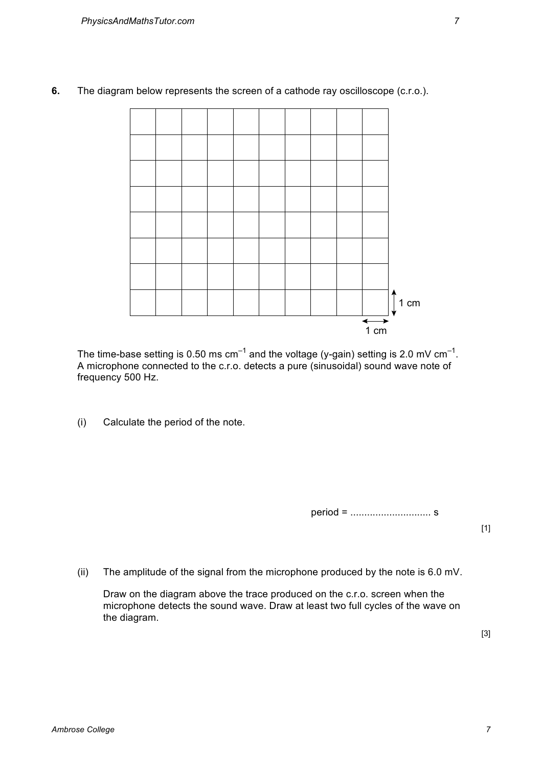**6.** The diagram below represents the screen of a cathode ray oscilloscope (c.r.o.).



The time-base setting is 0.50 ms cm<sup>-1</sup> and the voltage (y-gain) setting is 2.0 mV cm<sup>-1</sup>. A microphone connected to the c.r.o. detects a pure (sinusoidal) sound wave note of frequency 500 Hz.

(i) Calculate the period of the note.

period = ............................. s

[1]

(ii) The amplitude of the signal from the microphone produced by the note is 6.0 mV.

Draw on the diagram above the trace produced on the c.r.o. screen when the microphone detects the sound wave. Draw at least two full cycles of the wave on the diagram.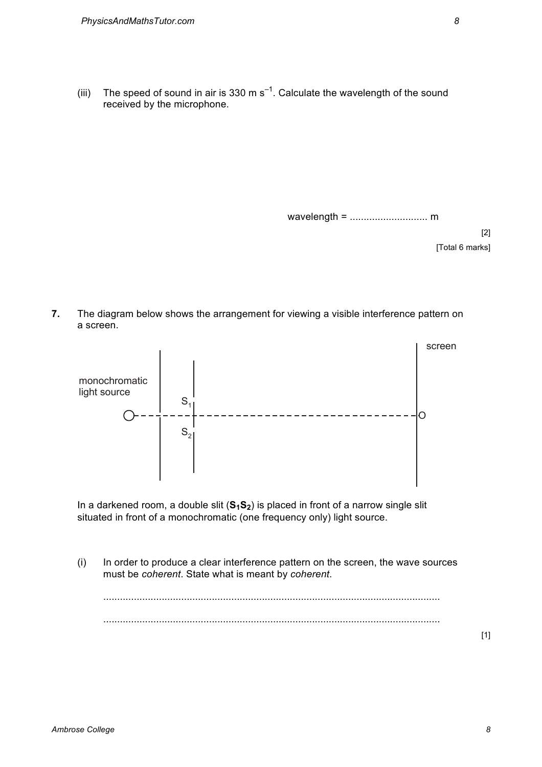(iii) The speed of sound in air is 330 m s<sup>-1</sup>. Calculate the wavelength of the sound received by the microphone.

wavelength = ............................ m

[2] [Total 6 marks]

**7.** The diagram below shows the arrangement for viewing a visible interference pattern on a screen.



In a darkened room, a double slit  $(S_1S_2)$  is placed in front of a narrow single slit situated in front of a monochromatic (one frequency only) light source.

(i) In order to produce a clear interference pattern on the screen, the wave sources must be *coherent*. State what is meant by *coherent*.

......................................................................................................................... .........................................................................................................................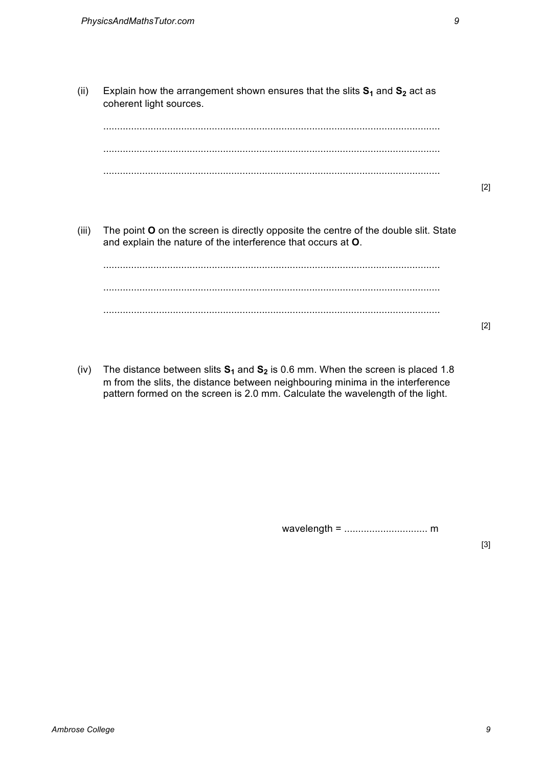- (ii) Explain how the arrangement shown ensures that the slits  $S_1$  and  $S_2$  act as coherent light sources. ......................................................................................................................... ......................................................................................................................... ......................................................................................................................... (iii) The point **O** on the screen is directly opposite the centre of the double slit. State and explain the nature of the interference that occurs at **O**. ......................................................................................................................... ......................................................................................................................... .........................................................................................................................
- (iv) The distance between slits  $S_1$  and  $S_2$  is 0.6 mm. When the screen is placed 1.8 m from the slits, the distance between neighbouring minima in the interference pattern formed on the screen is 2.0 mm. Calculate the wavelength of the light.

wavelength = .............................. m

[3]

[2]

[2]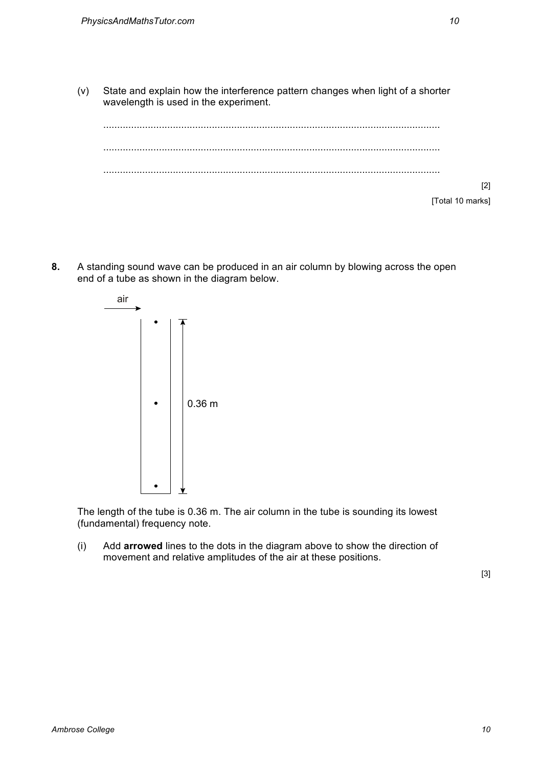(v) State and explain how the interference pattern changes when light of a shorter wavelength is used in the experiment.



**8.** A standing sound wave can be produced in an air column by blowing across the open end of a tube as shown in the diagram below.



The length of the tube is 0.36 m. The air column in the tube is sounding its lowest (fundamental) frequency note.

(i) Add **arrowed** lines to the dots in the diagram above to show the direction of movement and relative amplitudes of the air at these positions.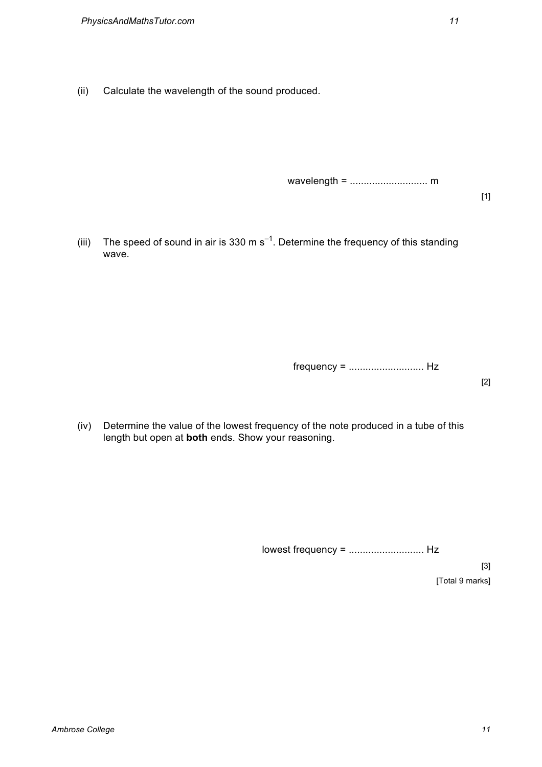(ii) Calculate the wavelength of the sound produced.

wavelength = ............................ m

[1]

(iii) The speed of sound in air is 330 m s<sup>-1</sup>. Determine the frequency of this standing wave.

frequency = ........................... Hz

[2]

(iv) Determine the value of the lowest frequency of the note produced in a tube of this length but open at **both** ends. Show your reasoning.

lowest frequency = ........................... Hz

[3] [Total 9 marks]